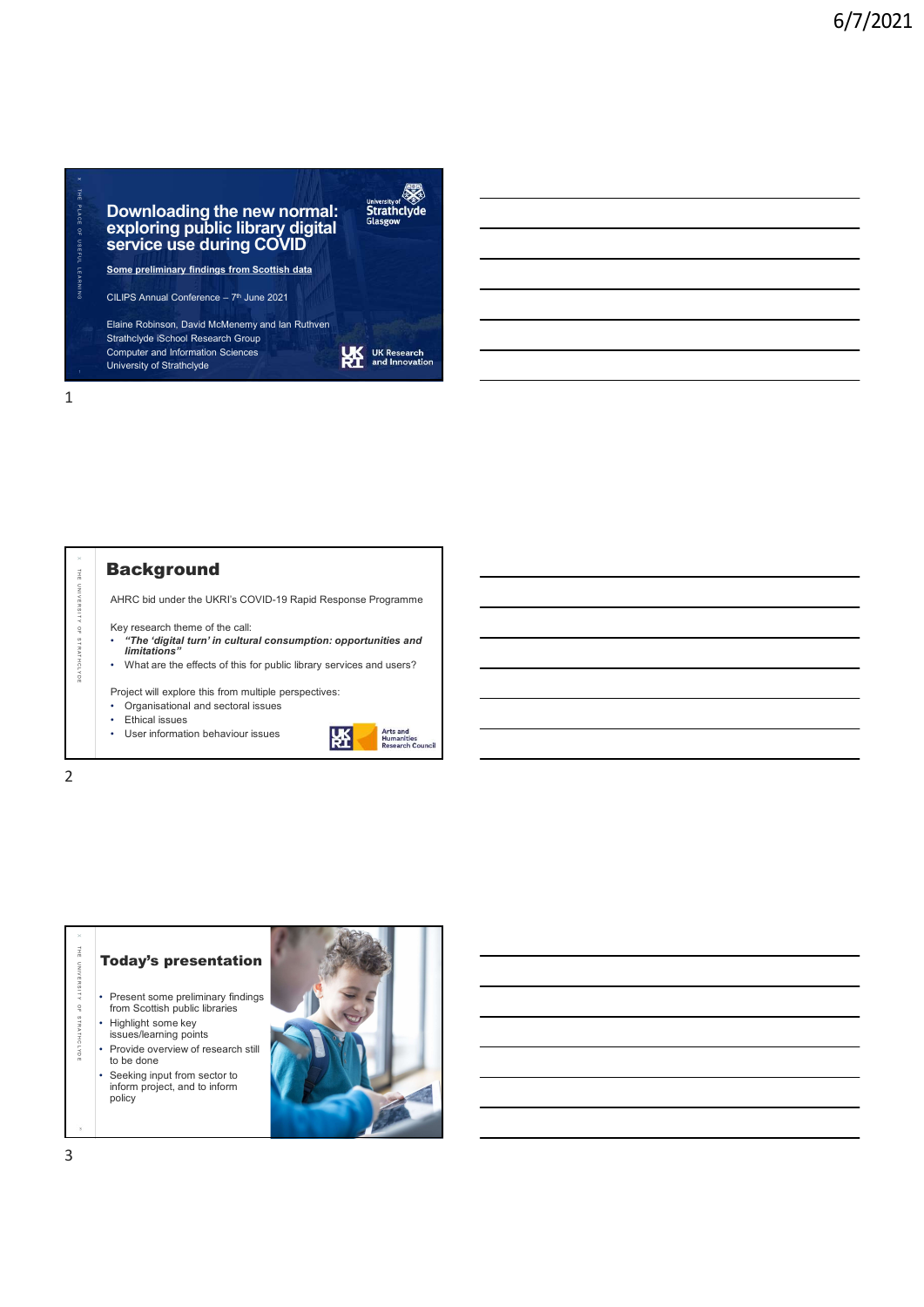# **X** and the second contract of the second contract of the second contract of the second contract of the second contract of the second contract of the second contract of the second contract of the second contract of the sec The **Control of Science of Science of Science of Science of Science of Science of Science of Science of Science of Science of Science of Science of Science of Science of Science of Science of Science of Science of Science** exploring public library digital stars and the exploring public library digital service use during COVID<sup>T</sup> and the contract of the contract of the contract of the contract of the contract of the contract of the contract of the contract of the contract of the contract of the contract of the contract o Some preliminary findings from Scottish data Downloading the new normal:<br>
exploring public library digital<br>
service use during COVID<br>
Some preliminary findings from Scotlish data<br>
Elime Rohnson David McMonemy and lian Ruthven<br>
Elime Rohnson David McMonemy and lian Ru Elaine Robinson, David McMenemy and Ian Ruthven **X** . In the contract of the contract of the contract of the contract of the contract of the contract of the contract of the contract of the contract of the contract of the contract of the contract of the contract of the c The Control of Strathclyde<br>
The Control of Strathclyde<br>
The properties are preliminary findings from Scotlan data<br>
Some preliminary findings from Scotlan data<br>
Some preliminary findings from Scotlan data<br>
Sull PS Annual The **Example of the School (Fighter)**<br>
Secret USE during COVID<br>
Secret USE during COVID<br>
Secret USE during COVID<br>
Secret USE developed and the Society and the Ruther<br>
State Robinson, David McMoreny and the Ruther<br>
School

Strathclyde iSchool Research Group<br>
Computer and Information Sciences<br>
Liniversity of Strathclyde Computer and Information Sciences University of Strathclyde

1

**Background** 

AHRC bid under the UKRI's COVID-19 Rapid Response Programme

Key research theme of the call: • "The 'digital turn' in cultural consumption: opportunities and limitations"

• What are the effects of this for public library services and users?

Project will explore this from multiple perspectives:

• Organisational and sectoral issues

- 
- User information behaviour issues



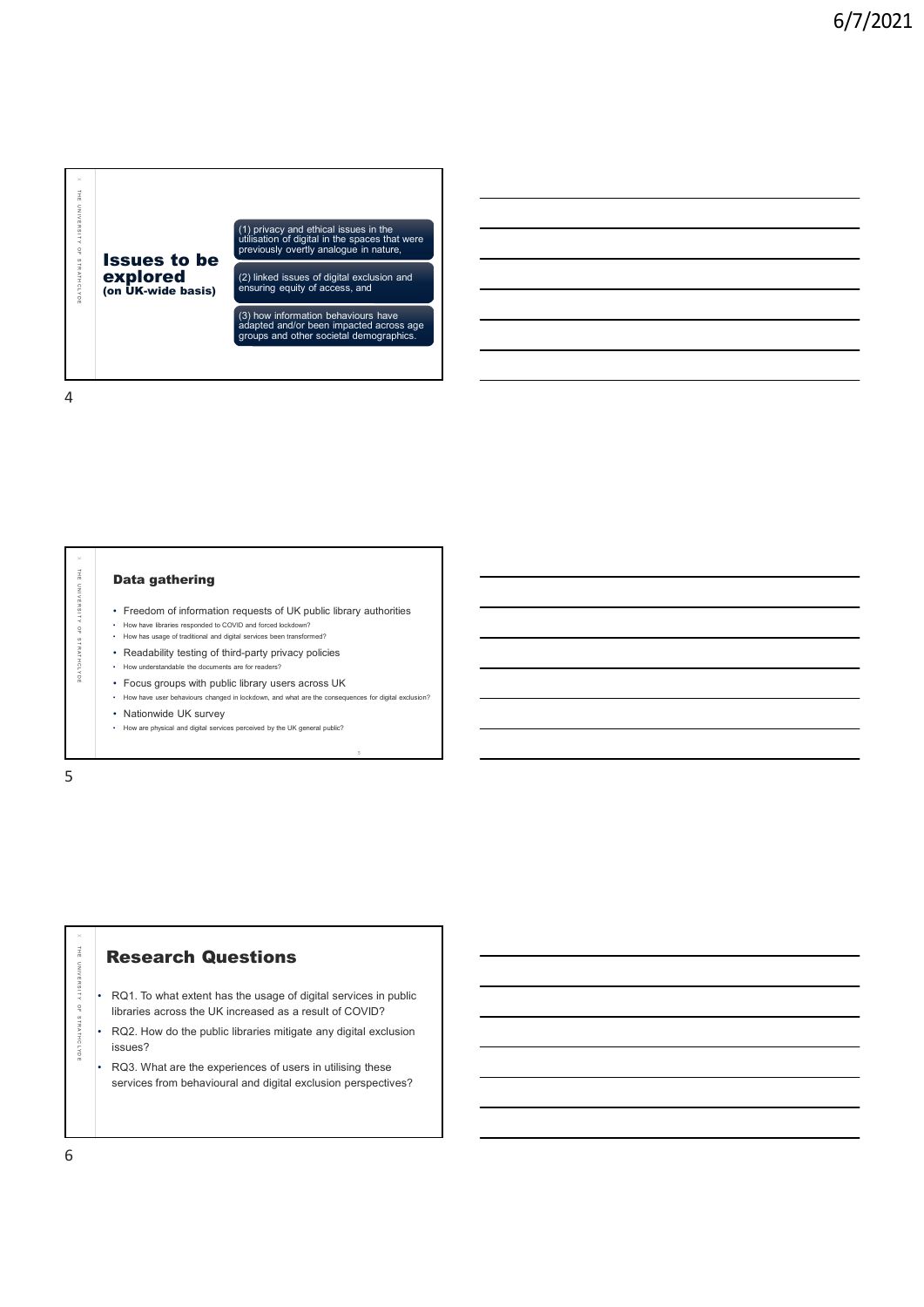

x la contra la contra de la contra la contra la contra la contra la contra la contra la contra la contra la co

- How have libraries responded to COVID and forced lockdown? • How has usage of traditional and digital services been transformed?
- 
- Readability testing of third-party privacy policies • How understandable the documents are for readers?
- Focus groups with public library users across UK
- How have user behaviours changed in lockdown, and what are the consequences for digital exclusion? **• Freedom of information requests of UK public library authorities**<br>• How have libraries responded to COVID and forced lockdown?<br>• Now has usage of traditional and digital services been transformed?<br>• Readability testing
- Nationwide UK survey
- 

5

The external of the formulation requests of UK public theray authorities<br>
The extendibility testing of third-party privaty policies<br>
Thus we also secure that is entered the sections of the second UK of the second UK<br>
The • RQ1. To what extent has the usage of digital services in public libraries across the UK increased as a result of COVID?

 $\times$  1

- RQ2. How do the public libraries mitigate any digital exclusion issues?
- RQ3. What are the experiences of users in utilising these services from behavioural and digital exclusion perspectives?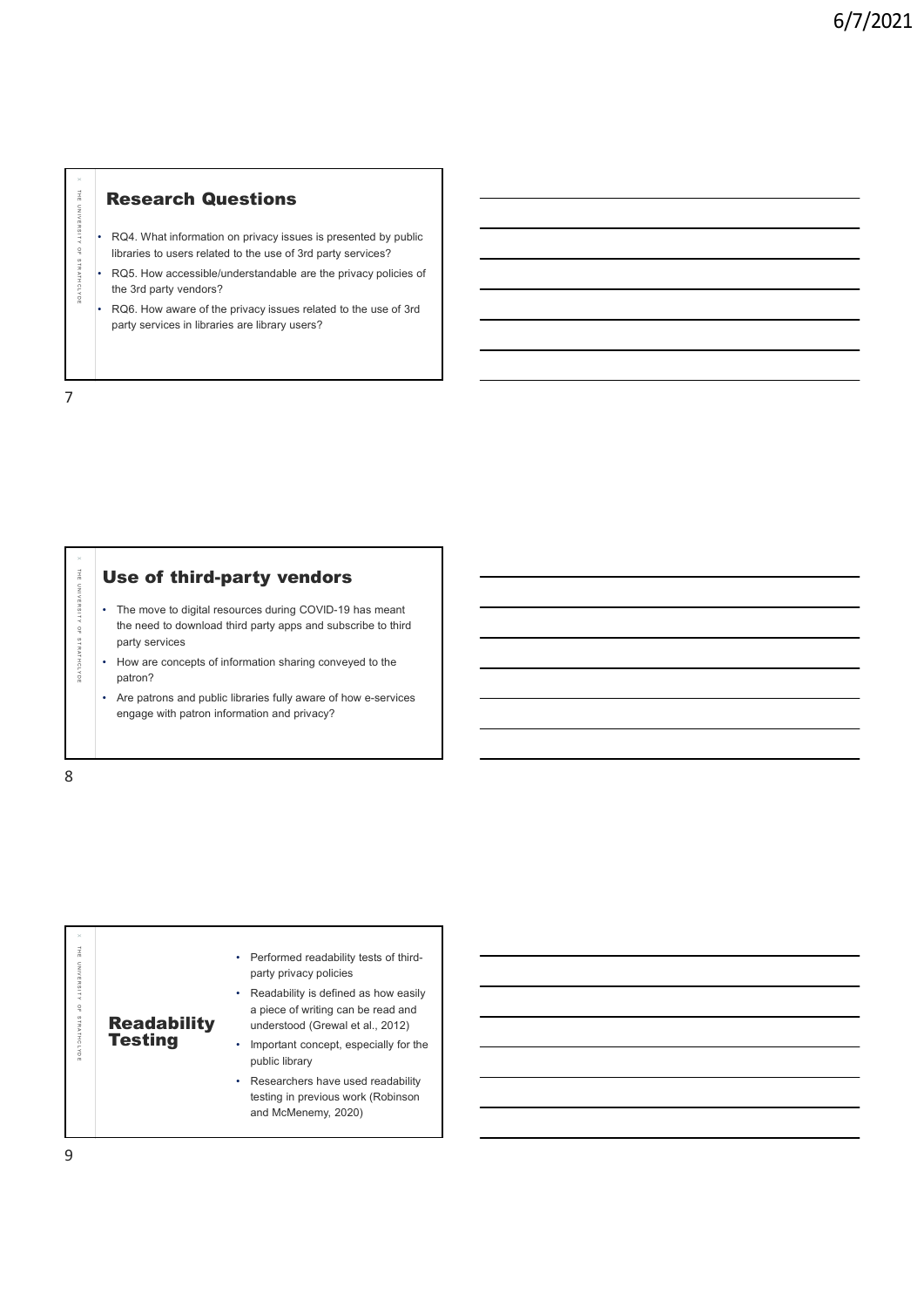• RQ4. What information on privacy issues is presented by public libraries to users related to the use of 3rd party services?

 $\times$  1

- **Research Questions**<br>  $\frac{1}{2}$ <br>  $\frac{1}{2}$ <br>  $\frac{1}{2}$ <br>  $\frac{1}{2}$ <br>  $\frac{1}{2}$ <br>  $\frac{1}{2}$ <br>  $\frac{1}{2}$ <br>  $\frac{1}{2}$ <br>  $\frac{1}{2}$ <br>  $\frac{1}{2}$ <br>  $\frac{1}{2}$ <br>  $\frac{1}{2}$ <br>  $\frac{1}{2}$ <br>  $\frac{1}{2}$ <br>  $\frac{1}{2}$ <br>  $\frac{1}{2}$ <br>  $\frac{1}{2}$ <br>  $\frac{1}{2}$ <br> • RQ5. How accessible/understandable are the privacy policies of the 3rd party vendors?
	- RQ6. How aware of the privacy issues related to the use of 3rd party services in libraries are library users?

7

THE RESCRIPTION CULCUSTIONS<br>
THE ROAD What information on phivary issues is presented by public<br>
ROS. How accessible understandable are the phivary policies of<br>
The ROAD How wave of the privacy issues related to the use of • The move to digital resources during COVID-19 has meant the need to download third party apps and subscribe to third party services

- How are concepts of information sharing conveyed to the patron?
- Are patrons and public libraries fully aware of how e-services engage with patron information and privacy?

|                                                                                                                                                                                                                                                                                                                                                    | Use of third-party vendors                                                                                                                                                               |  |
|----------------------------------------------------------------------------------------------------------------------------------------------------------------------------------------------------------------------------------------------------------------------------------------------------------------------------------------------------|------------------------------------------------------------------------------------------------------------------------------------------------------------------------------------------|--|
| The move to digital resources during COVID-19 has meant<br>٠<br>the need to download third party apps and subscribe to third<br>party services<br>How are concepts of information sharing conveyed to the<br>patron?<br>Are patrons and public libraries fully aware of how e-services<br>$\bullet$<br>engage with patron information and privacy? |                                                                                                                                                                                          |  |
|                                                                                                                                                                                                                                                                                                                                                    |                                                                                                                                                                                          |  |
|                                                                                                                                                                                                                                                                                                                                                    |                                                                                                                                                                                          |  |
| <b>Readability</b>                                                                                                                                                                                                                                                                                                                                 | • Performed readability tests of third-<br>party privacy policies<br>Readability is defined as how easily<br>۰<br>a piece of writing can be read and<br>understood (Grewal et al., 2012) |  |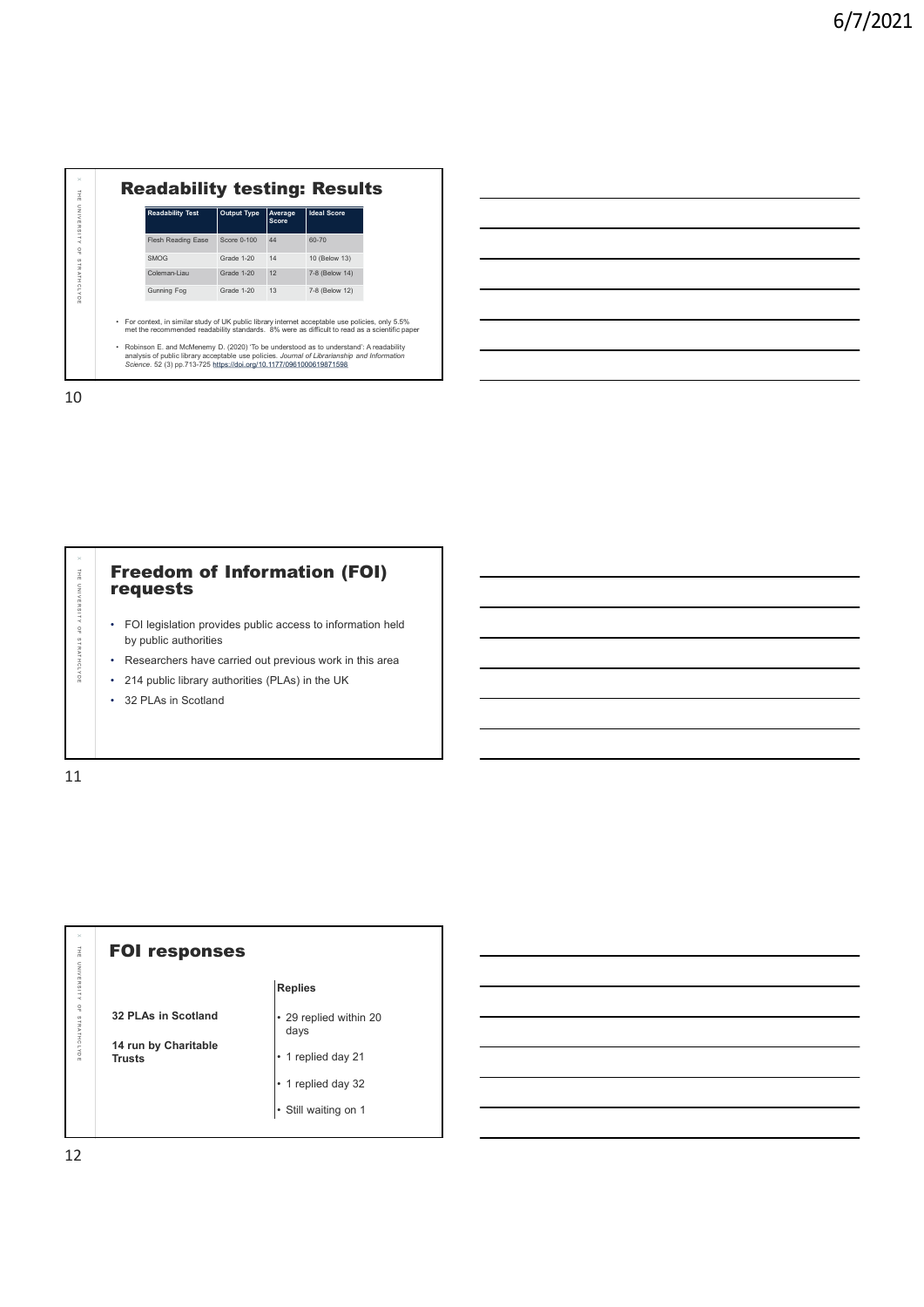| $\times$                        | <b>Readability testing: Results</b>                                                                                                                                                                                                                            |  |
|---------------------------------|----------------------------------------------------------------------------------------------------------------------------------------------------------------------------------------------------------------------------------------------------------------|--|
| $\vec{\Xi}$<br>UNIVERSITY       | <b>Readability Test</b><br>Output Type<br>Average<br><b>Ideal Score</b><br>Score                                                                                                                                                                               |  |
| $\frac{\mathsf{O}}{\mathsf{H}}$ | Flesh Reading Ease<br>Score 0-100<br>44<br>60-70                                                                                                                                                                                                               |  |
| STRATHCLYDE                     | SMOG<br>Grade 1-20<br>14<br>10 (Below 13)<br>Coleman-Liau<br>12<br>7-8 (Below 14)<br>Grade 1-20                                                                                                                                                                |  |
|                                 | Gunning Fog<br>Grade 1-20<br>13<br>7-8 (Below 12)                                                                                                                                                                                                              |  |
|                                 | • For context, in similar study of UK public library internet acceptable use policies, only 5.5%<br>met the recommended readability standards. 8% were as difficult to read as a scientific paper                                                              |  |
|                                 | • Robinson E. and McMenemy D. (2020) 'To be understood as to understand': A readability<br>analysis of public library acceptable use policies. Journal of Librarianship and Information<br>Science. 52 (3) pp.713-725 https://doi.org/10.1177/0961000619871598 |  |
| 10                              |                                                                                                                                                                                                                                                                |  |
|                                 |                                                                                                                                                                                                                                                                |  |
|                                 |                                                                                                                                                                                                                                                                |  |
|                                 |                                                                                                                                                                                                                                                                |  |
|                                 |                                                                                                                                                                                                                                                                |  |
|                                 |                                                                                                                                                                                                                                                                |  |
|                                 | <b>Freedom of Information (FOI)</b>                                                                                                                                                                                                                            |  |
| THE UNIVERSITY OF STRATHCLYDE   | requests                                                                                                                                                                                                                                                       |  |
|                                 | • FOI legislation provides public access to information held                                                                                                                                                                                                   |  |
|                                 | by public authorities<br>• Researchers have carried out previous work in this area                                                                                                                                                                             |  |
|                                 | • 214 public library authorities (PLAs) in the UK                                                                                                                                                                                                              |  |
|                                 | • 32 PLAs in Scotland                                                                                                                                                                                                                                          |  |
|                                 |                                                                                                                                                                                                                                                                |  |
| 11                              |                                                                                                                                                                                                                                                                |  |





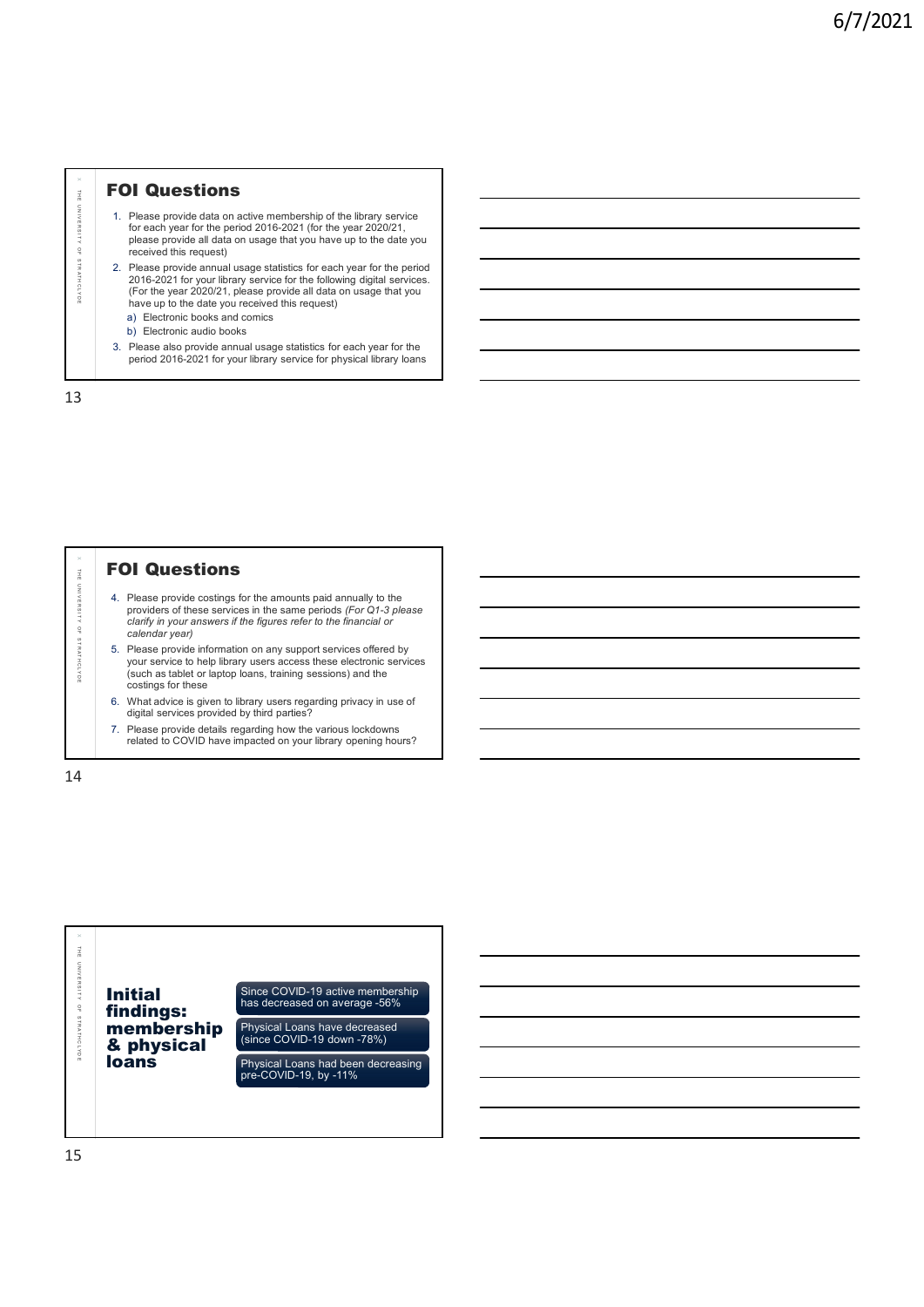# **FOI Questions**

- 1. Please provide data on active membership of the library service for each year for the period 2016-2021 (for the year 2020/21, please provide all data on usage that you have up to the date you received this request)
- **FOI Questions**<br>
The provide data on adive membership of the library service<br>
for each year at the period 2016-2021 (for the year 2020/21,<br>
please provide all data on usage that you have up to the date you<br>
received this 2. Please provide annual usage statistics for each year for the period 2016-2021 for your library service for the following digital services. (For the year 2020/21, please provide all data on usage that you have up to the date you received this request) a) Electronic books and comics T **FOI Questions**<br>
T. Please provide data on active membership of the library service<br>
for each year for the period 2016-2022 (for the year 2020/27, increase provide all data on sange statistics for each year for the peri
	- b) Electronic audio books
	- 3. Please also provide annual usage statistics for each year for the period 2016-2021 for your library service for physical library loans

13

# **FOI Questions**

- 4. Please provide costings for the amounts paid annually to the providers of these services in the same periods (For Q1-3 please clarify in your answers if the figures refer to the financial or calendar year)
- 5. Please provide information on any support services offered by your service to help library users access these electronic services (such as tablet or laptop loans, training sessions) and the costings for these
- 6. What advice is given to library users regarding privacy in use of digital services provided by third parties?
- 7. Please provide details regarding how the various lockdowns related to COVID have impacted on your library opening hours?

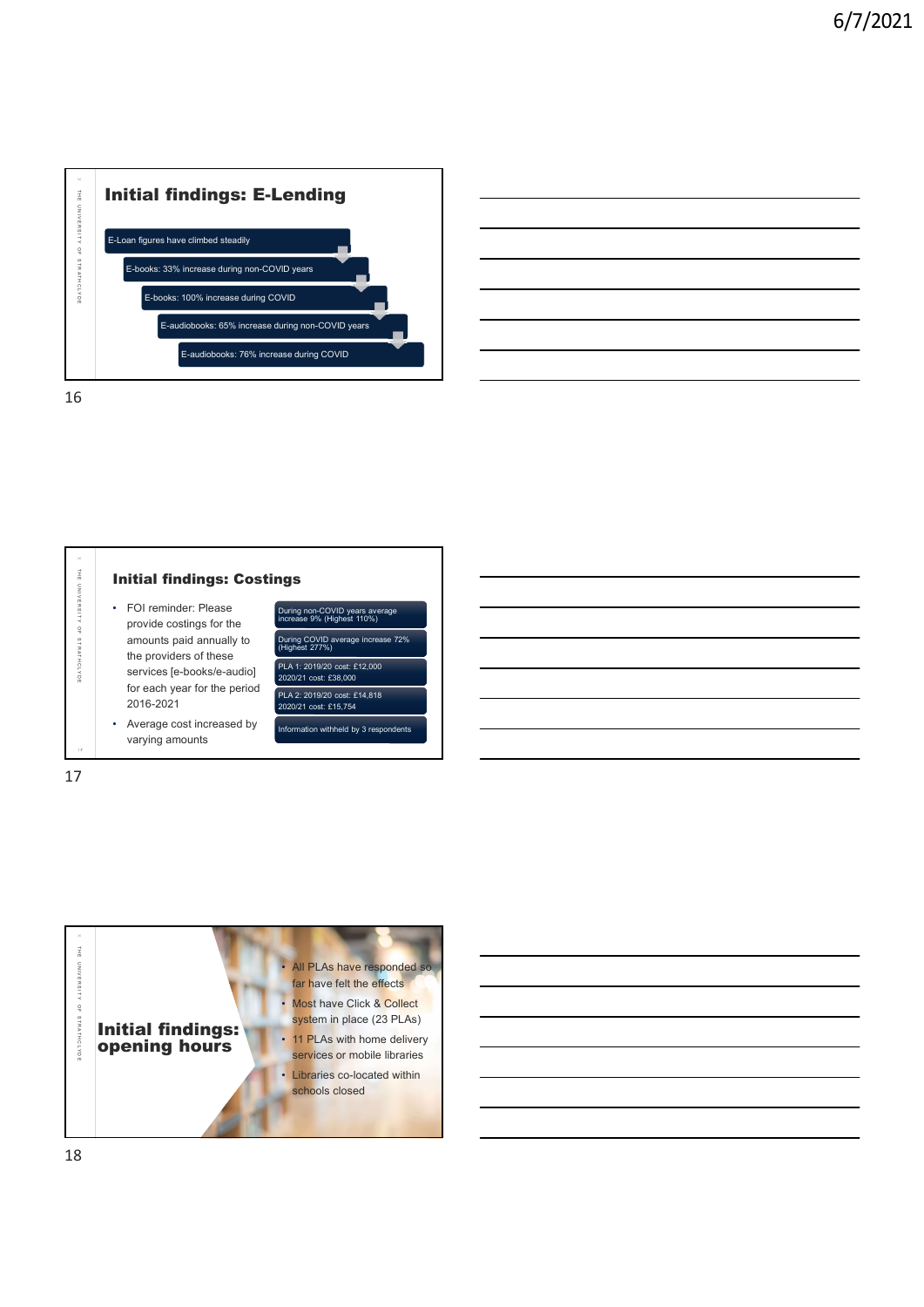

16



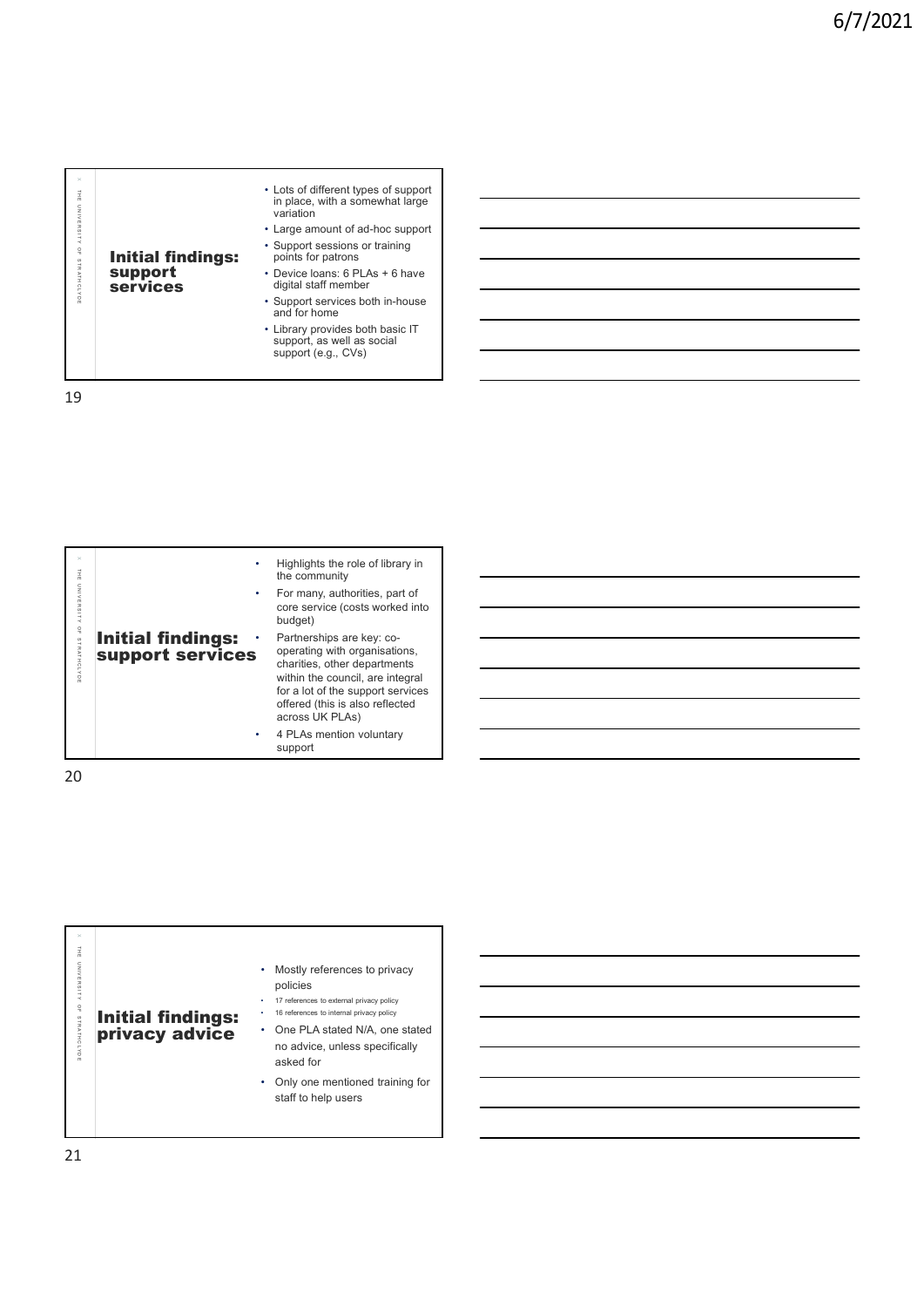| $\times$<br>THE UNIVERSITY OF STRATHCLYDE | <b>Initial findings:</b><br>support<br><b>services</b> | • Lots of different types of support<br>in place, with a somewhat large<br>variation<br>• Large amount of ad-hoc support<br>• Support sessions or training<br>points for patrons<br>• Device loans: 6 PLAs + 6 have<br>digital staff member<br>• Support services both in-house<br>and for home<br>• Library provides both basic IT<br>support, as well as social<br>support (e.g., CVs) |  |
|-------------------------------------------|--------------------------------------------------------|------------------------------------------------------------------------------------------------------------------------------------------------------------------------------------------------------------------------------------------------------------------------------------------------------------------------------------------------------------------------------------------|--|

| THE UNIVERSITY OF STRATHCLYDE | <b>Initial findings:</b><br>support<br>services | • Lots of different types of support<br>in place, with a somewhat large<br>variation<br>• Large amount of ad-hoc support<br>• Support sessions or training<br>points for patrons<br>• Device loans: 6 PLAs + 6 have<br>digital staff member<br>• Support services both in-house<br>and for home<br>• Library provides both basic IT<br>support, as well as social<br>support (e.g., CVs) |  |
|-------------------------------|-------------------------------------------------|------------------------------------------------------------------------------------------------------------------------------------------------------------------------------------------------------------------------------------------------------------------------------------------------------------------------------------------------------------------------------------------|--|
| 19                            |                                                 |                                                                                                                                                                                                                                                                                                                                                                                          |  |
|                               |                                                 |                                                                                                                                                                                                                                                                                                                                                                                          |  |
| THE UNIVERSITY OF STRATHCLYDE | <b>Initial findings:</b><br>support services    | Highlights the role of library in<br>the community<br>For many, authorities, part of<br>core service (costs worked into<br>budget)<br>Partnerships are key: co-<br>operating with organisations,                                                                                                                                                                                         |  |
|                               |                                                 | charities, other departments<br>within the council, are integral<br>for a lot of the support services<br>offered (this is also reflected<br>across UK PLAs)<br>4 PLAs mention voluntary                                                                                                                                                                                                  |  |
| 20                            |                                                 | support                                                                                                                                                                                                                                                                                                                                                                                  |  |
| $\times$                      |                                                 |                                                                                                                                                                                                                                                                                                                                                                                          |  |
| THE UNIVERSITY OF STRATHCLYDE | <b>Initial findings:</b><br>privacy advice      | Mostly references to privacy<br>policies<br>17 references to external privacy policy<br>16 references to internal privacy policy<br>One PLA stated N/A, one stated<br>no advice, unless specifically                                                                                                                                                                                     |  |
|                               |                                                 | asked for<br>Only one mentioned training for<br>staff to help users                                                                                                                                                                                                                                                                                                                      |  |
|                               |                                                 |                                                                                                                                                                                                                                                                                                                                                                                          |  |

| $\times$<br>킆<br>$\subset$<br>$\frac{z}{\leq}$<br>$\mathsf{m}$<br>ä<br>$\omega$<br>٠<br>$\prec$<br>$\mathop{^{_{\textstyle\circ}}}\nolimits$<br><b>Initial findings:<br/>privacy advice</b><br>STRATHCLYD<br>$\tilde{m}$ |
|--------------------------------------------------------------------------------------------------------------------------------------------------------------------------------------------------------------------------|
|--------------------------------------------------------------------------------------------------------------------------------------------------------------------------------------------------------------------------|